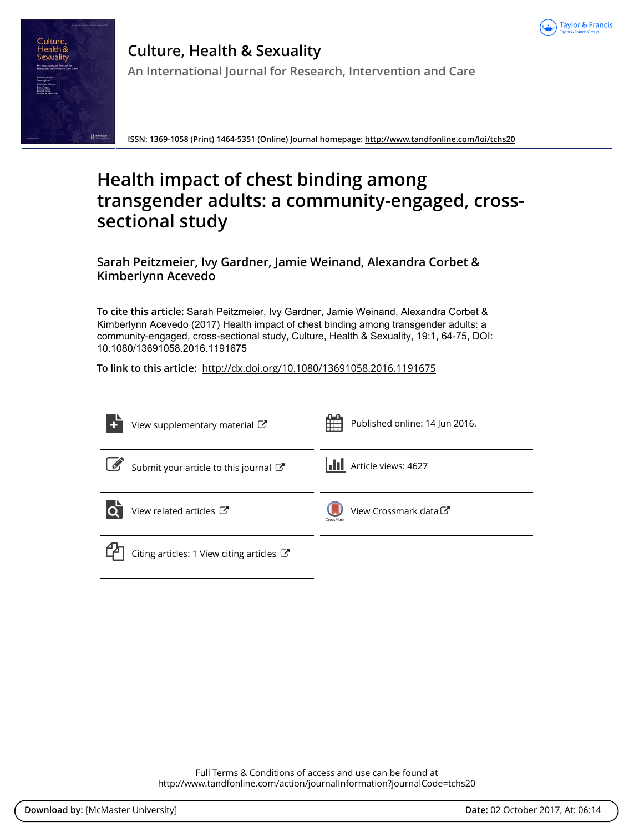



**Culture, Health & Sexuality An International Journal for Research, Intervention and Care**

**ISSN: 1369-1058 (Print) 1464-5351 (Online) Journal homepage:<http://www.tandfonline.com/loi/tchs20>**

# **Health impact of chest binding among transgender adults: a community-engaged, crosssectional study**

**Sarah Peitzmeier, Ivy Gardner, Jamie Weinand, Alexandra Corbet & Kimberlynn Acevedo**

**To cite this article:** Sarah Peitzmeier, Ivy Gardner, Jamie Weinand, Alexandra Corbet & Kimberlynn Acevedo (2017) Health impact of chest binding among transgender adults: a community-engaged, cross-sectional study, Culture, Health & Sexuality, 19:1, 64-75, DOI: [10.1080/13691058.2016.1191675](http://www.tandfonline.com/action/showCitFormats?doi=10.1080/13691058.2016.1191675)

**To link to this article:** <http://dx.doi.org/10.1080/13691058.2016.1191675>

|            | View supplementary material C                        | Published online: 14 Jun 2016.<br>Ħ           |
|------------|------------------------------------------------------|-----------------------------------------------|
| $\sqrt{2}$ | Submit your article to this journal                  | <b>III</b> Article views: 4627                |
| loj        | View related articles C                              | View Crossmark data <sup>C</sup><br>CrossMark |
|            | Citing articles: 1 View citing articles $\mathbb{Z}$ |                                               |

Full Terms & Conditions of access and use can be found at <http://www.tandfonline.com/action/journalInformation?journalCode=tchs20>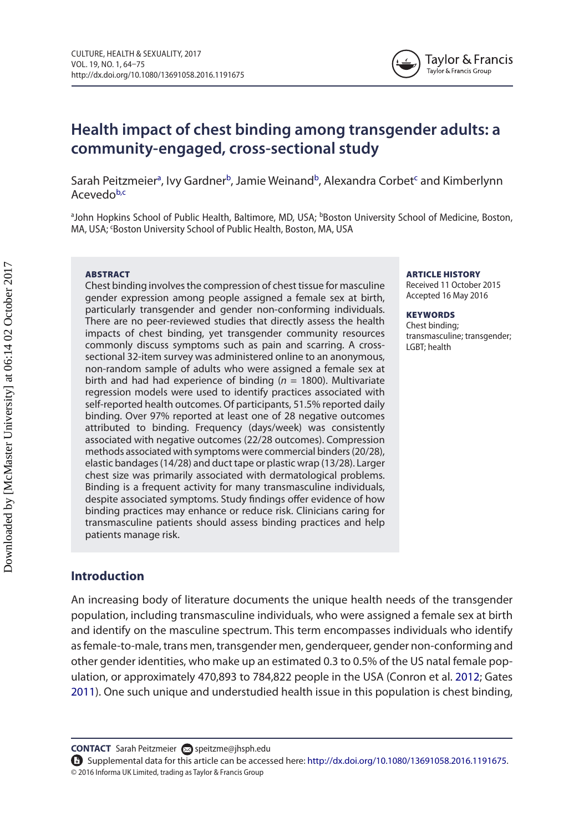

# **Health impact of chest binding among transgender adults: a community-engaged, cross-sectional study**

S[a](#page-1-0)rah Peitzmeier<sup>a</sup>, Ivy Gardner<sup>[b](#page-1-1)</sup>, Jamie Weinand<sup>b</sup>, Alexandra Corbet<sup>c</sup> and Kimberlynn Acevedo<sup>b[,c](#page-1-2)</sup>

<span id="page-1-2"></span><span id="page-1-1"></span><span id="page-1-0"></span>aJohn Hopkins School of Public Health, Baltimore, MD, USA; **bBoston University School of Medicine**, Boston, MA, USA; 'Boston University School of Public Health, Boston, MA, USA

#### ABSTRACT

Chest binding involves the compression of chest tissue for masculine gender expression among people assigned a female sex at birth, particularly transgender and gender non-conforming individuals. There are no peer-reviewed studies that directly assess the health impacts of chest binding, yet transgender community resources commonly discuss symptoms such as pain and scarring. A crosssectional 32-item survey was administered online to an anonymous, non-random sample of adults who were assigned a female sex at birth and had had experience of binding (*n* = 1800). Multivariate regression models were used to identify practices associated with self-reported health outcomes. Of participants, 51.5% reported daily binding. Over 97% reported at least one of 28 negative outcomes attributed to binding. Frequency (days/week) was consistently associated with negative outcomes (22/28 outcomes). Compression methods associated with symptoms were commercial binders (20/28), elastic bandages (14/28) and duct tape or plastic wrap (13/28). Larger chest size was primarily associated with dermatological problems. Binding is a frequent activity for many transmasculine individuals, despite associated symptoms. Study findings offer evidence of how binding practices may enhance or reduce risk. Clinicians caring for transmasculine patients should assess binding practices and help patients manage risk.

#### **Introduction**

An increasing body of literature documents the unique health needs of the transgender population, including transmasculine individuals, who were assigned a female sex at birth and identify on the masculine spectrum. This term encompasses individuals who identify as female-to-male, trans men, transgender men, genderqueer, gender non-conforming and other gender identities, who make up an estimated 0.3 to 0.5% of the US natal female population, or approximately 470,893 to 784,822 people in the USA (Conron et al. [2012](#page-11-0); Gates [2011\)](#page-12-0). One such unique and understudied health issue in this population is chest binding,

<span id="page-1-4"></span>**CONTACT** Sarah Peitzmeier **soluts** [speitzme@jhsph.edu](mailto:speitzme@jhsph.edu)

ARTICLE HISTORY Received 11 October 2015

Accepted 16 May 2016

<span id="page-1-3"></span>**KEYWORDS** Chest binding; transmasculine; transgender; LGBT; health

<sup>© 2016</sup> Informa UK Limited, trading as Taylor & Francis Group Supplemental data for this article can be accessed here: <http://dx.doi.org/10.1080/13691058.2016.1191675>.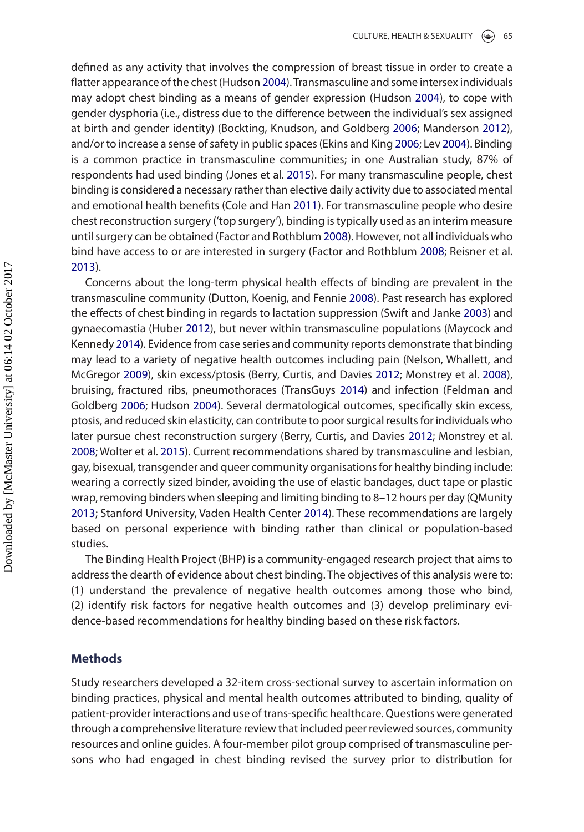<span id="page-2-11"></span><span id="page-2-10"></span><span id="page-2-9"></span><span id="page-2-8"></span><span id="page-2-4"></span><span id="page-2-1"></span>defined as any activity that involves the compression of breast tissue in order to create a flatter appearance of the chest (Hudson [2004\)](#page-12-1). Transmasculine and some intersex individuals may adopt chest binding as a means of gender expression (Hudson [2004](#page-12-1)), to cope with gender dysphoria (i.e., distress due to the difference between the individual's sex assigned at birth and gender identity) (Bockting, Knudson, and Goldberg [2006;](#page-11-1) Manderson [2012](#page-12-2)), and/or to increase a sense of safety in public spaces (Ekins and King [2006](#page-11-2); Lev [2004](#page-12-3)). Binding is a common practice in transmasculine communities; in one Australian study, 87% of respondents had used binding (Jones et al. [2015\)](#page-12-4). For many transmasculine people, chest binding is considered a necessary rather than elective daily activity due to associated mental and emotional health benefits (Cole and Han [2011](#page-11-3)). For transmasculine people who desire chest reconstruction surgery ('top surgery'), binding is typically used as an interim measure until surgery can be obtained (Factor and Rothblum [2008\)](#page-11-4). However, not all individuals who bind have access to or are interested in surgery (Factor and Rothblum [2008](#page-11-4); Reisner et al. [2013\)](#page-12-5).

<span id="page-2-18"></span><span id="page-2-16"></span><span id="page-2-14"></span><span id="page-2-13"></span><span id="page-2-12"></span><span id="page-2-7"></span><span id="page-2-6"></span><span id="page-2-5"></span><span id="page-2-3"></span><span id="page-2-2"></span><span id="page-2-0"></span>Concerns about the long-term physical health effects of binding are prevalent in the transmasculine community (Dutton, Koenig, and Fennie [2008\)](#page-11-5). Past research has explored the effects of chest binding in regards to lactation suppression (Swift and Janke [2003](#page-12-6)) and gynaecomastia (Huber [2012\)](#page-12-7), but never within transmasculine populations (Maycock and Kennedy [2014](#page-12-8)). Evidence from case series and community reports demonstrate that binding may lead to a variety of negative health outcomes including pain (Nelson, Whallett, and McGregor [2009\)](#page-12-9), skin excess/ptosis (Berry, Curtis, and Davies [2012;](#page-11-6) Monstrey et al. [2008](#page-12-10)), bruising, fractured ribs, pneumothoraces (TransGuys 2014) and infection (Feldman and Goldberg [2006;](#page-12-11) Hudson [2004\)](#page-12-1). Several dermatological outcomes, specifically skin excess, ptosis, and reduced skin elasticity, can contribute to poor surgical results for individuals who later pursue chest reconstruction surgery (Berry, Curtis, and Davies [2012;](#page-11-6) Monstrey et al. [2008;](#page-12-10) Wolter et al. 2015). Current recommendations shared by transmasculine and lesbian, gay, bisexual, transgender and queer community organisations for healthy binding include: wearing a correctly sized binder, avoiding the use of elastic bandages, duct tape or plastic wrap, removing binders when sleeping and limiting binding to 8–12 hours per day (QMunity [2013;](#page-12-12) Stanford University, Vaden Health Center [2014](#page-12-13)). These recommendations are largely based on personal experience with binding rather than clinical or population-based studies.

<span id="page-2-17"></span><span id="page-2-15"></span>The Binding Health Project (BHP) is a community-engaged research project that aims to address the dearth of evidence about chest binding. The objectives of this analysis were to: (1) understand the prevalence of negative health outcomes among those who bind, (2) identify risk factors for negative health outcomes and (3) develop preliminary evidence-based recommendations for healthy binding based on these risk factors.

# **Methods**

Study researchers developed a 32-item cross-sectional survey to ascertain information on binding practices, physical and mental health outcomes attributed to binding, quality of patient-provider interactions and use of trans-specific healthcare. Questions were generated through a comprehensive literature review that included peer reviewed sources, community resources and online guides. A four-member pilot group comprised of transmasculine persons who had engaged in chest binding revised the survey prior to distribution for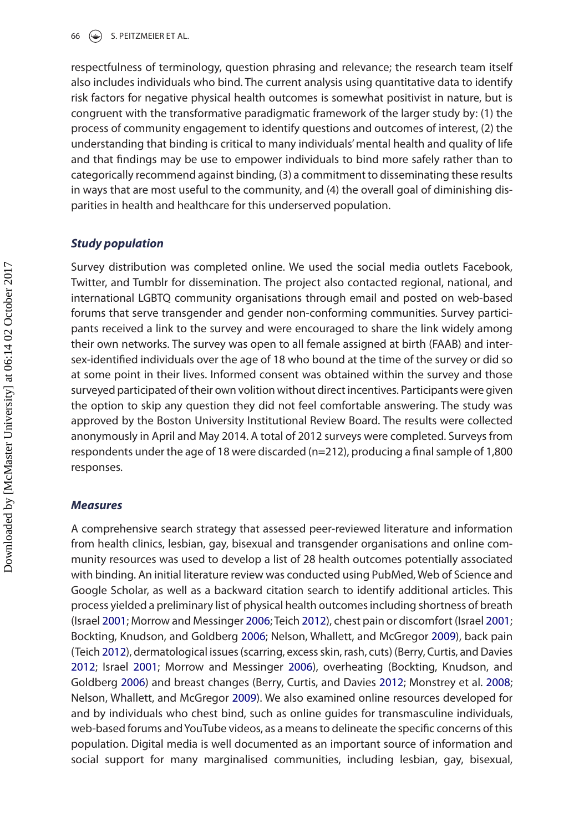respectfulness of terminology, question phrasing and relevance; the research team itself also includes individuals who bind. The current analysis using quantitative data to identify risk factors for negative physical health outcomes is somewhat positivist in nature, but is congruent with the transformative paradigmatic framework of the larger study by: (1) the process of community engagement to identify questions and outcomes of interest, (2) the understanding that binding is critical to many individuals' mental health and quality of life and that findings may be use to empower individuals to bind more safely rather than to categorically recommend against binding, (3) a commitment to disseminating these results in ways that are most useful to the community, and (4) the overall goal of diminishing disparities in health and healthcare for this underserved population.

#### *Study population*

Survey distribution was completed online. We used the social media outlets Facebook, Twitter, and Tumblr for dissemination. The project also contacted regional, national, and international LGBTQ community organisations through email and posted on web-based forums that serve transgender and gender non-conforming communities. Survey participants received a link to the survey and were encouraged to share the link widely among their own networks. The survey was open to all female assigned at birth (FAAB) and intersex-identified individuals over the age of 18 who bound at the time of the survey or did so at some point in their lives. Informed consent was obtained within the survey and those surveyed participated of their own volition without direct incentives. Participants were given the option to skip any question they did not feel comfortable answering. The study was approved by the Boston University Institutional Review Board. The results were collected anonymously in April and May 2014. A total of 2012 surveys were completed. Surveys from respondents under the age of 18 were discarded (n=212), producing a final sample of 1,800 responses.

#### *Measures*

<span id="page-3-2"></span><span id="page-3-1"></span><span id="page-3-0"></span>A comprehensive search strategy that assessed peer-reviewed literature and information from health clinics, lesbian, gay, bisexual and transgender organisations and online community resources was used to develop a list of 28 health outcomes potentially associated with binding. An initial literature review was conducted using PubMed, Web of Science and Google Scholar, as well as a backward citation search to identify additional articles. This process yielded a preliminary list of physical health outcomes including shortness of breath (Israel [2001;](#page-12-14) Morrow and Messinger [2006](#page-12-15); Teich [2012\)](#page-12-16), chest pain or discomfort (Israel [2001](#page-12-14); Bockting, Knudson, and Goldberg [2006](#page-11-1); Nelson, Whallett, and McGregor [2009](#page-12-9)), back pain (Teich [2012\)](#page-12-16), dermatological issues (scarring, excess skin, rash, cuts) (Berry, Curtis, and Davies [2012;](#page-11-6) Israel [2001](#page-12-14); Morrow and Messinger [2006](#page-12-15)), overheating (Bockting, Knudson, and Goldberg [2006\)](#page-11-1) and breast changes (Berry, Curtis, and Davies [2012](#page-11-6); Monstrey et al. [2008](#page-12-10); Nelson, Whallett, and McGregor [2009\)](#page-12-9). We also examined online resources developed for and by individuals who chest bind, such as online guides for transmasculine individuals, web-based forums and YouTube videos, as a means to delineate the specific concerns of this population. Digital media is well documented as an important source of information and social support for many marginalised communities, including lesbian, gay, bisexual,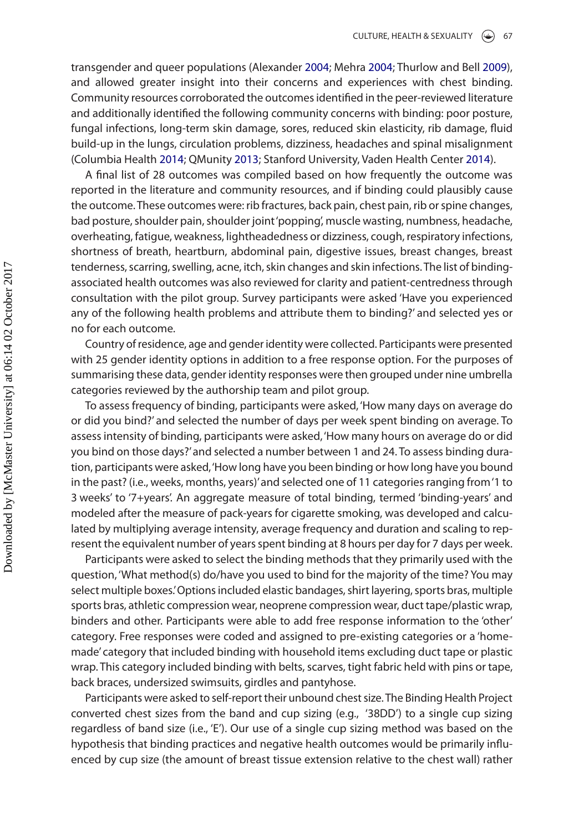<span id="page-4-2"></span><span id="page-4-0"></span>transgender and queer populations (Alexander [2004](#page-11-7); Mehra [2004;](#page-12-17) Thurlow and Bell 2009), and allowed greater insight into their concerns and experiences with chest binding. Community resources corroborated the outcomes identified in the peer-reviewed literature and additionally identified the following community concerns with binding: poor posture, fungal infections, long-term skin damage, sores, reduced skin elasticity, rib damage, fluid build-up in the lungs, circulation problems, dizziness, headaches and spinal misalignment (Columbia Health [2014](#page-11-8); QMunity [2013;](#page-12-12) Stanford University, Vaden Health Center [2014](#page-12-13)).

<span id="page-4-1"></span>A final list of 28 outcomes was compiled based on how frequently the outcome was reported in the literature and community resources, and if binding could plausibly cause the outcome. These outcomes were: rib fractures, back pain, chest pain, rib or spine changes, bad posture, shoulder pain, shoulder joint 'popping', muscle wasting, numbness, headache, overheating, fatigue, weakness, lightheadedness or dizziness, cough, respiratory infections, shortness of breath, heartburn, abdominal pain, digestive issues, breast changes, breast tenderness, scarring, swelling, acne, itch, skin changes and skin infections. The list of bindingassociated health outcomes was also reviewed for clarity and patient-centredness through consultation with the pilot group. Survey participants were asked 'Have you experienced any of the following health problems and attribute them to binding?' and selected yes or no for each outcome.

Country of residence, age and gender identity were collected. Participants were presented with 25 gender identity options in addition to a free response option. For the purposes of summarising these data, gender identity responses were then grouped under nine umbrella categories reviewed by the authorship team and pilot group.

To assess frequency of binding, participants were asked, 'How many days on average do or did you bind?' and selected the number of days per week spent binding on average. To assess intensity of binding, participants were asked, 'How many hours on average do or did you bind on those days?' and selected a number between 1 and 24. To assess binding duration, participants were asked, 'How long have you been binding or how long have you bound in the past? (i.e., weeks, months, years)' and selected one of 11 categories ranging from '1 to 3 weeks' to '7+years'. An aggregate measure of total binding, termed 'binding-years' and modeled after the measure of pack-years for cigarette smoking, was developed and calculated by multiplying average intensity, average frequency and duration and scaling to represent the equivalent number of years spent binding at 8 hours per day for 7 days per week.

Participants were asked to select the binding methods that they primarily used with the question, 'What method(s) do/have you used to bind for the majority of the time? You may select multiple boxes.' Options included elastic bandages, shirt layering, sports bras, multiple sports bras, athletic compression wear, neoprene compression wear, duct tape/plastic wrap, binders and other. Participants were able to add free response information to the 'other' category. Free responses were coded and assigned to pre-existing categories or a 'homemade' category that included binding with household items excluding duct tape or plastic wrap. This category included binding with belts, scarves, tight fabric held with pins or tape, back braces, undersized swimsuits, girdles and pantyhose.

Participants were asked to self-report their unbound chest size. The Binding Health Project converted chest sizes from the band and cup sizing (e.g., '38DD') to a single cup sizing regardless of band size (i.e., 'E'). Our use of a single cup sizing method was based on the hypothesis that binding practices and negative health outcomes would be primarily influenced by cup size (the amount of breast tissue extension relative to the chest wall) rather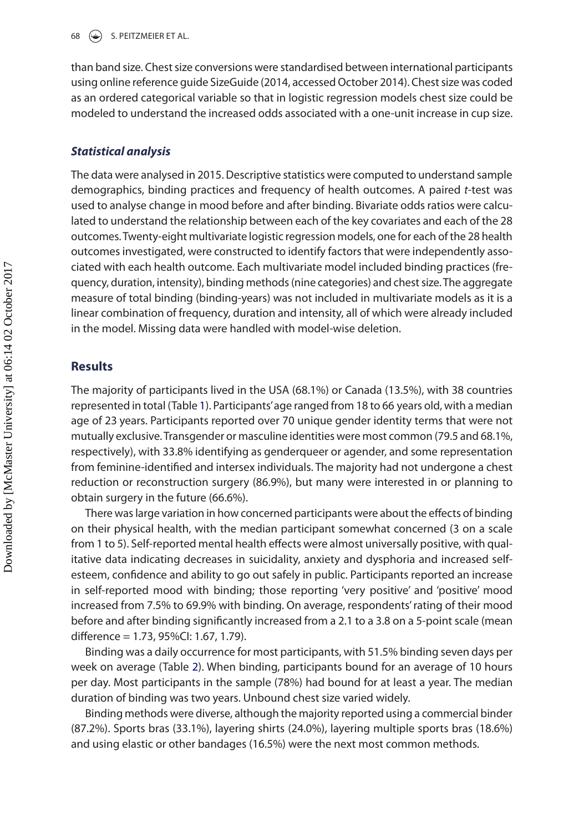68  $\left(\frac{1}{2}\right)$  S. PEITZMEIER ET AL.

than band size. Chest size conversions were standardised between international participants using online reference guide SizeGuide (2014, accessed October 2014). Chest size was coded as an ordered categorical variable so that in logistic regression models chest size could be modeled to understand the increased odds associated with a one-unit increase in cup size.

# *Statistical analysis*

The data were analysed in 2015. Descriptive statistics were computed to understand sample demographics, binding practices and frequency of health outcomes. A paired *t*-test was used to analyse change in mood before and after binding. Bivariate odds ratios were calculated to understand the relationship between each of the key covariates and each of the 28 outcomes. Twenty-eight multivariate logistic regression models, one for each of the 28 health outcomes investigated, were constructed to identify factors that were independently associated with each health outcome. Each multivariate model included binding practices (frequency, duration, intensity), binding methods (nine categories) and chest size. The aggregate measure of total binding (binding-years) was not included in multivariate models as it is a linear combination of frequency, duration and intensity, all of which were already included in the model. Missing data were handled with model-wise deletion.

## **Results**

The majority of participants lived in the USA (68.1%) or Canada (13.5%), with 38 countries represented in total (Table [1\)](#page-6-0). Participants' age ranged from 18 to 66 years old, with a median age of 23 years. Participants reported over 70 unique gender identity terms that were not mutually exclusive. Transgender or masculine identities were most common (79.5 and 68.1%, respectively), with 33.8% identifying as genderqueer or agender, and some representation from feminine-identified and intersex individuals. The majority had not undergone a chest reduction or reconstruction surgery (86.9%), but many were interested in or planning to obtain surgery in the future (66.6%).

There was large variation in how concerned participants were about the effects of binding on their physical health, with the median participant somewhat concerned (3 on a scale from 1 to 5). Self-reported mental health effects were almost universally positive, with qualitative data indicating decreases in suicidality, anxiety and dysphoria and increased selfesteem, confidence and ability to go out safely in public. Participants reported an increase in self-reported mood with binding; those reporting 'very positive' and 'positive' mood increased from 7.5% to 69.9% with binding. On average, respondents' rating of their mood before and after binding significantly increased from a 2.1 to a 3.8 on a 5-point scale (mean difference = 1.73, 95%CI: 1.67, 1.79).

Binding was a daily occurrence for most participants, with 51.5% binding seven days per week on average (Table [2\)](#page-7-0). When binding, participants bound for an average of 10 hours per day. Most participants in the sample (78%) had bound for at least a year. The median duration of binding was two years. Unbound chest size varied widely.

Binding methods were diverse, although the majority reported using a commercial binder (87.2%). Sports bras (33.1%), layering shirts (24.0%), layering multiple sports bras (18.6%) and using elastic or other bandages (16.5%) were the next most common methods.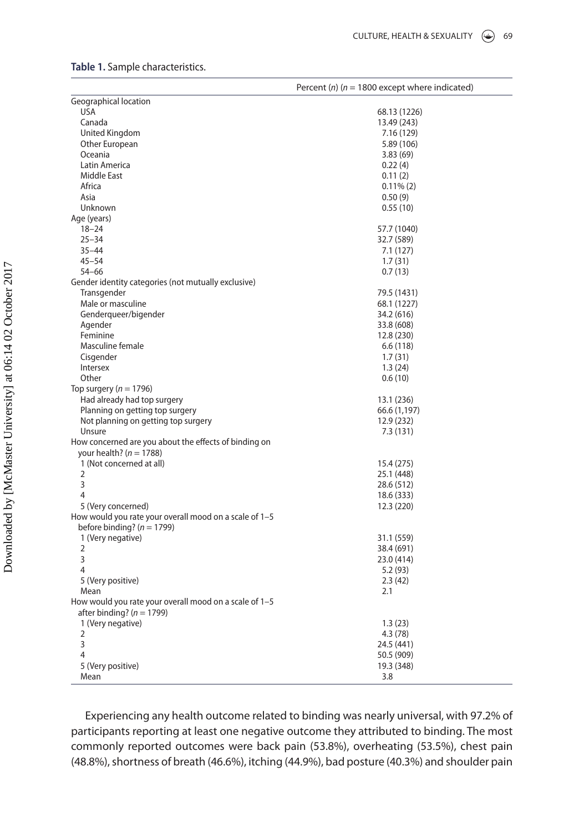|                                                                                          | Percent (n) ( $n = 1800$ except where indicated) |
|------------------------------------------------------------------------------------------|--------------------------------------------------|
| Geographical location                                                                    |                                                  |
| <b>USA</b>                                                                               | 68.13 (1226)                                     |
| Canada                                                                                   | 13.49 (243)                                      |
| United Kingdom                                                                           | 7.16 (129)                                       |
| Other European                                                                           | 5.89 (106)                                       |
| Oceania                                                                                  | 3.83(69)                                         |
| Latin America                                                                            | 0.22(4)                                          |
| Middle East                                                                              | 0.11(2)                                          |
| Africa                                                                                   | $0.11\%$ (2)                                     |
| Asia                                                                                     | 0.50(9)                                          |
| Unknown                                                                                  | 0.55(10)                                         |
| Age (years)                                                                              |                                                  |
| $18 - 24$                                                                                | 57.7 (1040)                                      |
| $25 - 34$                                                                                | 32.7 (589)                                       |
| $35 - 44$                                                                                | 7.1(127)                                         |
| $45 - 54$                                                                                | 1.7(31)                                          |
| $54 - 66$                                                                                | 0.7(13)                                          |
| Gender identity categories (not mutually exclusive)                                      |                                                  |
| Transgender                                                                              | 79.5 (1431)                                      |
| Male or masculine                                                                        | 68.1 (1227)                                      |
| Genderqueer/bigender                                                                     | 34.2 (616)                                       |
| Agender                                                                                  | 33.8 (608)                                       |
| Feminine                                                                                 | 12.8 (230)                                       |
| Masculine female                                                                         | 6.6(118)                                         |
| Cisgender                                                                                | 1.7(31)                                          |
| Intersex                                                                                 | 1.3(24)                                          |
| Other                                                                                    | 0.6(10)                                          |
| Top surgery ( $n = 1796$ )                                                               |                                                  |
| Had already had top surgery                                                              | 13.1 (236)                                       |
| Planning on getting top surgery                                                          | 66.6 (1,197)                                     |
| Not planning on getting top surgery                                                      | 12.9 (232)                                       |
| Unsure                                                                                   | 7.3 (131)                                        |
| How concerned are you about the effects of binding on<br>your health? ( $n = 1788$ )     |                                                  |
| 1 (Not concerned at all)                                                                 | 15.4 (275)                                       |
| $\overline{2}$                                                                           | 25.1 (448)                                       |
| 3                                                                                        | 28.6 (512)                                       |
| 4                                                                                        | 18.6 (333)                                       |
| 5 (Very concerned)                                                                       | 12.3 (220)                                       |
| How would you rate your overall mood on a scale of 1-5<br>before binding? ( $n = 1799$ ) |                                                  |
| 1 (Very negative)                                                                        | 31.1 (559)                                       |
| 2                                                                                        | 38.4 (691)                                       |
| 3                                                                                        | 23.0 (414)                                       |
| 4                                                                                        | 5.2(93)                                          |
| 5 (Very positive)                                                                        | 2.3(42)                                          |
| Mean                                                                                     | 2.1                                              |
| How would you rate your overall mood on a scale of 1-5                                   |                                                  |
| after binding? ( $n = 1799$ )                                                            |                                                  |
| 1 (Very negative)                                                                        | 1.3(23)                                          |
| 2                                                                                        | 4.3(78)                                          |
| 3                                                                                        | 24.5 (441)                                       |
| 4                                                                                        | 50.5 (909)                                       |
| 5 (Very positive)                                                                        | 19.3 (348)                                       |
| Mean                                                                                     | 3.8                                              |

#### <span id="page-6-0"></span>**Table 1.** Sample characteristics.

Experiencing any health outcome related to binding was nearly universal, with 97.2% of participants reporting at least one negative outcome they attributed to binding. The most commonly reported outcomes were back pain (53.8%), overheating (53.5%), chest pain (48.8%), shortness of breath (46.6%), itching (44.9%), bad posture (40.3%) and shoulder pain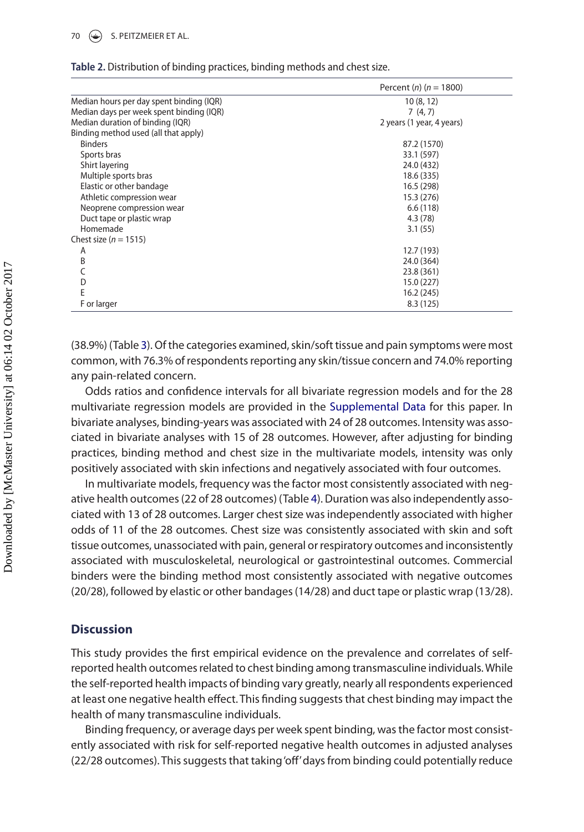|                                          | Percent ( <i>n</i> ) ( $n = 1800$ ) |
|------------------------------------------|-------------------------------------|
| Median hours per day spent binding (IQR) | 10(8, 12)                           |
| Median days per week spent binding (IQR) | 7(4,7)                              |
| Median duration of binding (IQR)         | 2 years (1 year, 4 years)           |
| Binding method used (all that apply)     |                                     |
| <b>Binders</b>                           | 87.2 (1570)                         |
| Sports bras                              | 33.1 (597)                          |
| Shirt layering                           | 24.0 (432)                          |
| Multiple sports bras                     | 18.6 (335)                          |
| Elastic or other bandage                 | 16.5 (298)                          |
| Athletic compression wear                | 15.3 (276)                          |
| Neoprene compression wear                | 6.6(118)                            |
| Duct tape or plastic wrap                | 4.3(78)                             |
| Homemade                                 | 3.1(55)                             |
| Chest size ( $n = 1515$ )                |                                     |
| A                                        | 12.7 (193)                          |
| B                                        | 24.0 (364)                          |
|                                          | 23.8 (361)                          |
| D                                        | 15.0 (227)                          |
| E                                        | 16.2(245)                           |
| F or larger                              | 8.3(125)                            |

<span id="page-7-0"></span>

(38.9%) (Table [3](#page-8-0)). Of the categories examined, skin/soft tissue and pain symptoms were most common, with 76.3% of respondents reporting any skin/tissue concern and 74.0% reporting any pain-related concern.

Odds ratios and confidence intervals for all bivariate regression models and for the 28 multivariate regression models are provided in the [Supplemental Data](http://dx.doi.org/10.1080/13691058.2016.1191675) for this paper. In bivariate analyses, binding-years was associated with 24 of 28 outcomes. Intensity was associated in bivariate analyses with 15 of 28 outcomes. However, after adjusting for binding practices, binding method and chest size in the multivariate models, intensity was only positively associated with skin infections and negatively associated with four outcomes.

In multivariate models, frequency was the factor most consistently associated with negative health outcomes (22 of 28 outcomes) (Table [4\)](#page-9-0). Duration was also independently associated with 13 of 28 outcomes. Larger chest size was independently associated with higher odds of 11 of the 28 outcomes. Chest size was consistently associated with skin and soft tissue outcomes, unassociated with pain, general or respiratory outcomes and inconsistently associated with musculoskeletal, neurological or gastrointestinal outcomes. Commercial binders were the binding method most consistently associated with negative outcomes (20/28), followed by elastic or other bandages (14/28) and duct tape or plastic wrap (13/28).

## **Discussion**

This study provides the first empirical evidence on the prevalence and correlates of selfreported health outcomes related to chest binding among transmasculine individuals. While the self-reported health impacts of binding vary greatly, nearly all respondents experienced at least one negative health effect. This finding suggests that chest binding may impact the health of many transmasculine individuals.

Binding frequency, or average days per week spent binding, was the factor most consistently associated with risk for self-reported negative health outcomes in adjusted analyses (22/28 outcomes). This suggests that taking 'off' days from binding could potentially reduce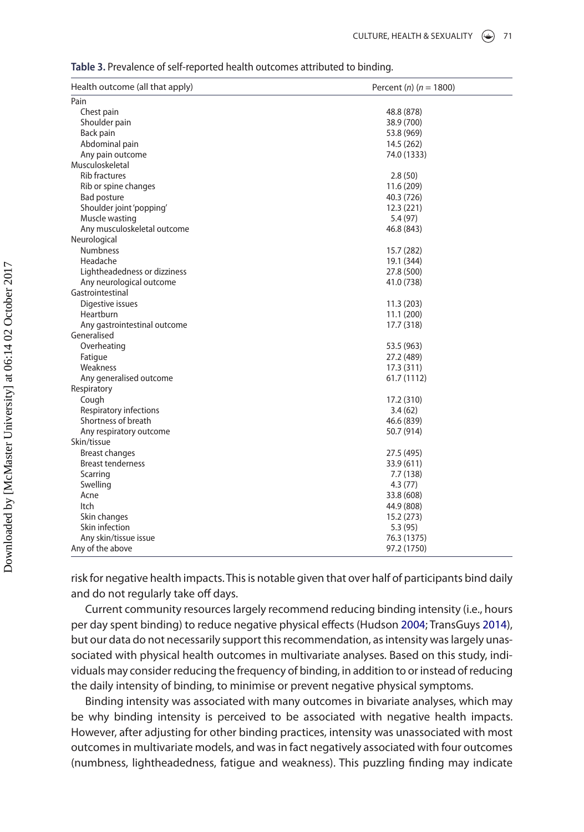| Health outcome (all that apply) | Percent (n) ( $n = 1800$ ) |
|---------------------------------|----------------------------|
| Pain                            |                            |
| Chest pain                      | 48.8 (878)                 |
| Shoulder pain                   | 38.9 (700)                 |
| Back pain                       | 53.8 (969)                 |
| Abdominal pain                  | 14.5 (262)                 |
| Any pain outcome                | 74.0 (1333)                |
| Musculoskeletal                 |                            |
| <b>Rib fractures</b>            | 2.8(50)                    |
| Rib or spine changes            | 11.6 (209)                 |
| Bad posture                     | 40.3 (726)                 |
| Shoulder joint 'popping'        | 12.3 (221)                 |
| Muscle wasting                  | 5.4 (97)                   |
| Any musculoskeletal outcome     | 46.8 (843)                 |
| Neurological                    |                            |
| <b>Numbness</b>                 | 15.7 (282)                 |
| Headache                        | 19.1 (344)                 |
| Lightheadedness or dizziness    | 27.8 (500)                 |
| Any neurological outcome        | 41.0 (738)                 |
| Gastrointestinal                |                            |
| Digestive issues                | 11.3 (203)                 |
| Heartburn                       | 11.1 (200)                 |
| Any gastrointestinal outcome    | 17.7 (318)                 |
| Generalised                     |                            |
| Overheating                     | 53.5 (963)                 |
| Fatigue                         | 27.2 (489)                 |
| Weakness                        | 17.3(311)                  |
| Any generalised outcome         | 61.7 (1112)                |
| Respiratory                     |                            |
| Cough                           | 17.2 (310)                 |
| <b>Respiratory infections</b>   | 3.4 (62)                   |
| Shortness of breath             | 46.6 (839)                 |
| Any respiratory outcome         | 50.7 (914)                 |
| Skin/tissue                     |                            |
| Breast changes                  | 27.5 (495)                 |
| <b>Breast tenderness</b>        | 33.9 (611)                 |
| Scarring                        | 7.7 (138)                  |
| Swelling                        | 4.3(77)                    |
| Acne                            | 33.8 (608)                 |
| Itch                            | 44.9 (808)                 |
| Skin changes                    | 15.2 (273)                 |
| Skin infection                  | 5.3(95)                    |
| Any skin/tissue issue           | 76.3 (1375)                |
| Any of the above                | 97.2 (1750)                |

<span id="page-8-0"></span>**Table 3.** Prevalence of self-reported health outcomes attributed to binding.

risk for negative health impacts. This is notable given that over half of participants bind daily and do not regularly take off days.

Current community resources largely recommend reducing binding intensity (i.e., hours per day spent binding) to reduce negative physical effects (Hudson [2004](#page-12-1); TransGuys 2014), but our data do not necessarily support this recommendation, as intensity was largely unassociated with physical health outcomes in multivariate analyses. Based on this study, individuals may consider reducing the frequency of binding, in addition to or instead of reducing the daily intensity of binding, to minimise or prevent negative physical symptoms.

Binding intensity was associated with many outcomes in bivariate analyses, which may be why binding intensity is perceived to be associated with negative health impacts. However, after adjusting for other binding practices, intensity was unassociated with most outcomes in multivariate models, and was in fact negatively associated with four outcomes (numbness, lightheadedness, fatigue and weakness). This puzzling finding may indicate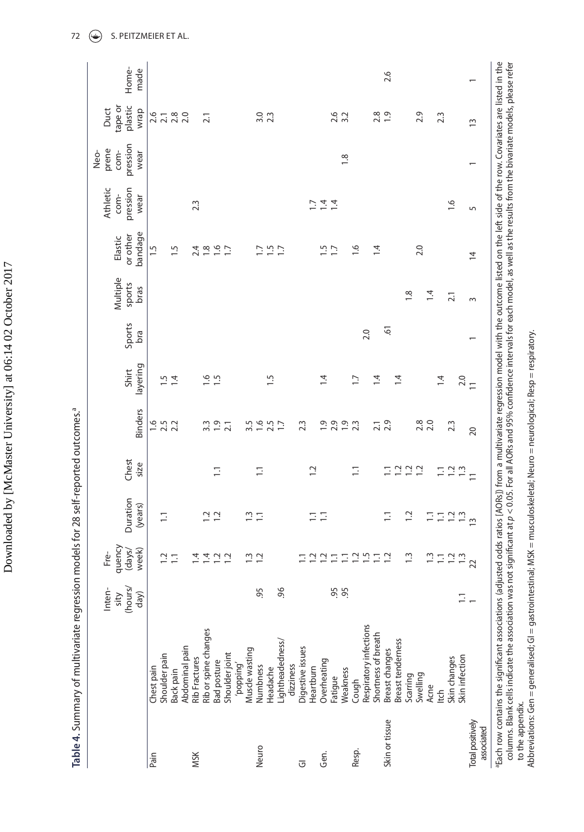|                                |                                                                                                                     | Inten-<br>sity<br>(hours,<br>day) | quency<br>(days/<br>week)<br>Fre-                                         | Duration<br>(years)     | Chest<br>size                                       | <b>Binders</b>                           | layering<br>Shirt               | Sports<br>bra | Multiple<br>sports<br>bras | bandage<br>or other<br>Elastic                      | Athletic<br>pression<br>com-<br>wear | pression<br>prene<br>com-<br>Neo-<br>wear | tape or<br>plastic<br>Duct<br>wrap | Home-<br>made |
|--------------------------------|---------------------------------------------------------------------------------------------------------------------|-----------------------------------|---------------------------------------------------------------------------|-------------------------|-----------------------------------------------------|------------------------------------------|---------------------------------|---------------|----------------------------|-----------------------------------------------------|--------------------------------------|-------------------------------------------|------------------------------------|---------------|
| Pain                           | Shoulder pain<br>Chest pain                                                                                         |                                   | $\overline{12}$<br>$\overline{1}$                                         | $\overline{1}$          |                                                     | 1.5<br>2.5<br>2.2                        | $\ddot{5}$<br>$\overline{14}$   |               |                            | 1.5                                                 |                                      |                                           | $2.6$<br>2.1                       |               |
| MSK                            | Rib or spine changes<br>Abdominal pain<br>Shoulder joint<br><b>Rib Fractures</b><br><b>Bad</b> posture<br>Back pain |                                   | $\overline{4}$<br>$\frac{4}{7}$ $\frac{7}{7}$ $\frac{7}{7}$               | $\frac{1}{2}$           | $\Xi$                                               | 3.3<br>$\frac{0}{2}$ .                   | $\frac{6}{1}$<br>$\frac{15}{2}$ |               |                            | $\ddot{1}$<br>$\frac{28}{10}$ $\frac{6}{10}$<br>2.4 | 2.3                                  |                                           | $2.8$<br>2.0<br>2.1                |               |
| Neuro                          | Headache<br>Lightheadedness/<br>Muscle wasting<br>buiddod,<br>Numbness                                              | 95<br>9ċ                          | $\frac{13}{12}$                                                           | $\frac{13}{11}$         | $\Xi$                                               | 3.5<br>$1.6$<br>2.5<br>$\overline{17}$   | 1.5                             |               |                            | $\frac{15}{1}$<br>$\overline{17}$                   |                                      |                                           | $3.0$<br>2.3                       |               |
| ල්<br>ප<br>ヮ                   | Digestive issues<br>Overheating<br>dizziness<br>Heartburn<br>Fatigue                                                | 95 S                              | コロコロ                                                                      | $\Xi \Xi$               | $\overline{1}$ .                                    | $\ddot{0}$<br>2.9<br>23                  | 1.4                             |               |                            | $\frac{15}{2}$                                      | $\ddot{=}$ $\ddot{=}$ $\ddot{=}$     |                                           | 2.6<br>3.2                         |               |
| Skin or tissue<br>Resp.        | Respiratory infections<br>Shortness of breath<br>Breast changes<br>Neakness<br>Cough                                |                                   | $\frac{1}{1}$ .<br>$\frac{1}{2}$<br>$\frac{1}{2}$ $\frac{1}{2}$<br>$\sum$ | Ξ                       | $\Xi$                                               | $\frac{1}{2}$<br>$\frac{2.1}{2.9}$<br>23 | $\overline{1}$ .<br>1.4         | 5<br>2.0      |                            | $\frac{6}{1}$<br>1.4                                |                                      | $\frac{8}{1}$                             | $2.8$<br>1.9                       | 2.6           |
|                                | Breast tenderness<br>Swelling<br>Scarring<br>Acne<br>Itch                                                           |                                   | $\frac{3}{2}$                                                             | $\ddot{c}$              | $\Xi \stackrel{\sim}{=} \Xi \stackrel{\sim}{=} \Xi$ | $2.8$<br>2.0                             | 1.4<br>1.4                      |               | $\frac{8}{1}$<br>14        | 2.0                                                 |                                      |                                           | 2.9<br>2.3                         |               |
| Total positively<br>associated | Skin infection<br>Skin changes                                                                                      | $\Xi$ –                           | $\Xi \Xi \Xi \Xi$                                                         | $\Xi \Xi \Xi \Xi_{\Xi}$ | $\Xi \; \Xi \; \Xi \; \Xi$                          | 2.3<br>$\overline{c}$                    | $\frac{2.0}{11}$                |               | 2.1<br>ξ                   | $\overline{4}$                                      | $\frac{6}{1}$<br>5                   |                                           | $\tilde{1}$                        |               |

<span id="page-9-0"></span>Table 4. Summary of multivariate regression models for 28 self-reported outcomes.<sup>a</sup> **Table 4.** Summary of multivariate regression models for 28 self-reported outcomes.<sup>a</sup>

Downloaded by [McMaster University] at 06:14 02 October 2017

Downloaded by [McMaster University] at 06:14 02 October 2017

°Each row contains the significant associations (adjusted odds ratios [AORs]) from a multivariate regression model with the outcome listed on the left side of the row. Covariates are listed in the columns. Blank cells ind aEach row contains the significant associations (adjusted odds ratios [AORs]) from a multivariate regression model with the outcome listed on the left side of the row. Covariates are listed in the columns. Blank cells indicate the association was not significant at *p* < 0.05. For all AORs and 95% confidence intervals for each model, as well as the results from the bivariate models, please refer

Abbreviations: Gen = generalised; Gl = gastrointestinal; MSK = musculoskeletal; Neuro = neurological; Resp = respiratory. Abbreviations: Gen = generalised; GI = gastrointestinal; MSK = musculoskeletal; Neuro = neurological; Resp = respiratory. to the appendix. to the appendix.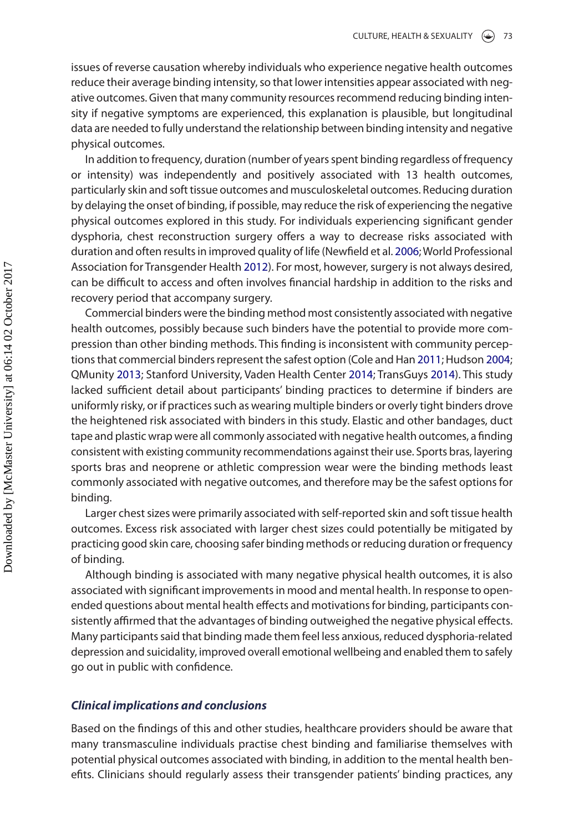issues of reverse causation whereby individuals who experience negative health outcomes reduce their average binding intensity, so that lower intensities appear associated with negative outcomes. Given that many community resources recommend reducing binding intensity if negative symptoms are experienced, this explanation is plausible, but longitudinal data are needed to fully understand the relationship between binding intensity and negative physical outcomes.

In addition to frequency, duration (number of years spent binding regardless of frequency or intensity) was independently and positively associated with 13 health outcomes, particularly skin and soft tissue outcomes and musculoskeletal outcomes. Reducing duration by delaying the onset of binding, if possible, may reduce the risk of experiencing the negative physical outcomes explored in this study. For individuals experiencing significant gender dysphoria, chest reconstruction surgery offers a way to decrease risks associated with duration and often results in improved quality of life (Newfield et al. [2006](#page-12-10); World Professional Association for Transgender Health [2012\)](#page-12-16). For most, however, surgery is not always desired, can be difficult to access and often involves financial hardship in addition to the risks and recovery period that accompany surgery.

Commercial binders were the binding method most consistently associated with negative health outcomes, possibly because such binders have the potential to provide more compression than other binding methods. This finding is inconsistent with community perceptions that commercial binders represent the safest option (Cole and Han [2011](#page-11-3); Hudson [2004](#page-12-1); QMunity [2013](#page-12-12); Stanford University, Vaden Health Center [2014](#page-12-13); TransGuys 2014). This study lacked sufficient detail about participants' binding practices to determine if binders are uniformly risky, or if practices such as wearing multiple binders or overly tight binders drove the heightened risk associated with binders in this study. Elastic and other bandages, duct tape and plastic wrap were all commonly associated with negative health outcomes, a finding consistent with existing community recommendations against their use. Sports bras, layering sports bras and neoprene or athletic compression wear were the binding methods least commonly associated with negative outcomes, and therefore may be the safest options for binding.

Larger chest sizes were primarily associated with self-reported skin and soft tissue health outcomes. Excess risk associated with larger chest sizes could potentially be mitigated by practicing good skin care, choosing safer binding methods or reducing duration or frequency of binding.

Although binding is associated with many negative physical health outcomes, it is also associated with significant improvements in mood and mental health. In response to openended questions about mental health effects and motivations for binding, participants consistently affirmed that the advantages of binding outweighed the negative physical effects. Many participants said that binding made them feel less anxious, reduced dysphoria-related depression and suicidality, improved overall emotional wellbeing and enabled them to safely go out in public with confidence.

#### *Clinical implications and conclusions*

Based on the findings of this and other studies, healthcare providers should be aware that many transmasculine individuals practise chest binding and familiarise themselves with potential physical outcomes associated with binding, in addition to the mental health benefits. Clinicians should regularly assess their transgender patients' binding practices, any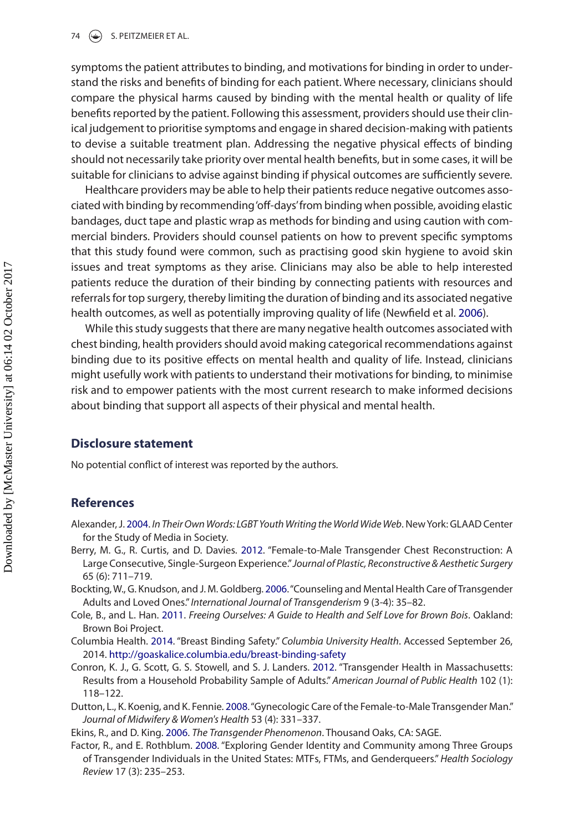symptoms the patient attributes to binding, and motivations for binding in order to understand the risks and benefits of binding for each patient. Where necessary, clinicians should compare the physical harms caused by binding with the mental health or quality of life benefits reported by the patient. Following this assessment, providers should use their clinical judgement to prioritise symptoms and engage in shared decision-making with patients to devise a suitable treatment plan. Addressing the negative physical effects of binding should not necessarily take priority over mental health benefits, but in some cases, it will be suitable for clinicians to advise against binding if physical outcomes are sufficiently severe*.*

Healthcare providers may be able to help their patients reduce negative outcomes associated with binding by recommending 'off-days' from binding when possible, avoiding elastic bandages, duct tape and plastic wrap as methods for binding and using caution with commercial binders. Providers should counsel patients on how to prevent specific symptoms that this study found were common, such as practising good skin hygiene to avoid skin issues and treat symptoms as they arise. Clinicians may also be able to help interested patients reduce the duration of their binding by connecting patients with resources and referrals for top surgery, thereby limiting the duration of binding and its associated negative health outcomes, as well as potentially improving quality of life (Newfield et al. [2006\)](#page-12-18).

<span id="page-11-9"></span>While this study suggests that there are many negative health outcomes associated with chest binding, health providers should avoid making categorical recommendations against binding due to its positive effects on mental health and quality of life. Instead, clinicians might usefully work with patients to understand their motivations for binding, to minimise risk and to empower patients with the most current research to make informed decisions about binding that support all aspects of their physical and mental health.

# **Disclosure statement**

No potential conflict of interest was reported by the authors.

# **References**

- <span id="page-11-7"></span>Alexander, J. [2004](#page-4-0). *In Their Own Words: LGBT Youth Writing the World Wide Web*. New York: GLAAD Center for the Study of Media in Society.
- <span id="page-11-6"></span>Berry, M. G., R. Curtis, and D. Davies. [2012](#page-2-0). "Female-to-Male Transgender Chest Reconstruction: A Large Consecutive, Single-Surgeon Experience." *Journal of Plastic, Reconstructive & Aesthetic Surgery* 65 (6): 711–719.
- <span id="page-11-1"></span>Bockting, W., G. Knudson, and J. M. Goldberg. [2006](#page-2-1). "Counseling and Mental Health Care of Transgender Adults and Loved Ones." *International Journal of Transgenderism* 9 (3-4): 35–82.
- <span id="page-11-3"></span>Cole, B., and L. Han. [2011](#page-2-2). *Freeing Ourselves: A Guide to Health and Self Love for Brown Bois*. Oakland: Brown Boi Project.
- <span id="page-11-8"></span>Columbia Health. [2014](#page-4-1). "Breast Binding Safety." *Columbia University Health*. Accessed September 26, 2014.<http://goaskalice.columbia.edu/breast-binding-safety>
- <span id="page-11-0"></span>Conron, K. J., G. Scott, G. S. Stowell, and S. J. Landers. [2012.](#page-1-3) "Transgender Health in Massachusetts: Results from a Household Probability Sample of Adults." *American Journal of Public Health* 102 (1): 118–122.
- <span id="page-11-5"></span>Dutton, L., K. Koenig, and K. Fennie. [2008](#page-2-3). "Gynecologic Care of the Female-to-Male Transgender Man." *Journal of Midwifery & Women's Health* 53 (4): 331–337.
- <span id="page-11-2"></span>Ekins, R., and D. King. [2006.](#page-2-4) *The Transgender Phenomenon*. Thousand Oaks, CA: SAGE.
- <span id="page-11-4"></span>Factor, R., and E. Rothblum. [2008](#page-2-5). "Exploring Gender Identity and Community among Three Groups of Transgender Individuals in the United States: MTFs, FTMs, and Genderqueers." *Health Sociology Review* 17 (3): 235–253.